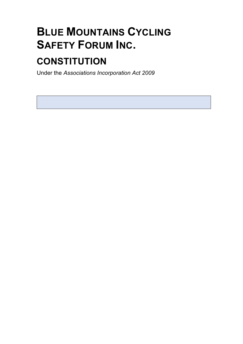# **BLUE MOUNTAINS CYCLING SAFETY FORUM INC.**

# **CONSTITUTION**

Under the *Associations Incorporation Act 2009*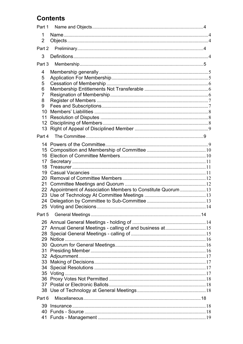# **Contents**

| Part 1                   |                                                                |  |  |  |
|--------------------------|----------------------------------------------------------------|--|--|--|
| 1<br>$\overline{2}$      |                                                                |  |  |  |
|                          |                                                                |  |  |  |
| Part 2                   |                                                                |  |  |  |
| 3                        |                                                                |  |  |  |
| Part 3                   |                                                                |  |  |  |
| 4                        |                                                                |  |  |  |
| 5                        |                                                                |  |  |  |
| 5                        |                                                                |  |  |  |
| 6                        |                                                                |  |  |  |
| 7                        |                                                                |  |  |  |
| 8<br>9                   |                                                                |  |  |  |
| 10                       |                                                                |  |  |  |
| 11                       |                                                                |  |  |  |
| 12                       |                                                                |  |  |  |
| 13                       |                                                                |  |  |  |
| Part 4                   |                                                                |  |  |  |
|                          |                                                                |  |  |  |
|                          |                                                                |  |  |  |
| 16                       |                                                                |  |  |  |
| 17                       |                                                                |  |  |  |
| 18                       |                                                                |  |  |  |
| 19                       |                                                                |  |  |  |
| 20                       |                                                                |  |  |  |
| 21                       |                                                                |  |  |  |
|                          | 22 Appointment of Association Members to Constitute Quorum  13 |  |  |  |
| 24                       |                                                                |  |  |  |
| 25 Voting and Decisions. |                                                                |  |  |  |
| Part 5                   |                                                                |  |  |  |
|                          |                                                                |  |  |  |
|                          | 27 Annual General Meetings - calling of and business at15      |  |  |  |
| 28                       |                                                                |  |  |  |
|                          |                                                                |  |  |  |
|                          |                                                                |  |  |  |
| 31                       |                                                                |  |  |  |
|                          |                                                                |  |  |  |
|                          |                                                                |  |  |  |
| 34                       |                                                                |  |  |  |
|                          |                                                                |  |  |  |
|                          |                                                                |  |  |  |
|                          |                                                                |  |  |  |
| Part 6                   |                                                                |  |  |  |
|                          |                                                                |  |  |  |
| 39                       |                                                                |  |  |  |
| 41                       |                                                                |  |  |  |
|                          |                                                                |  |  |  |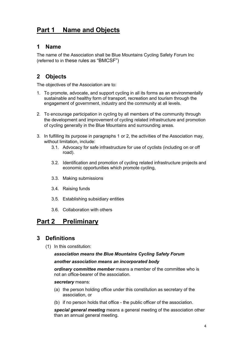# **Part 1 Name and Objects**

#### **1 Name**

The name of the Association shall be Blue Mountains Cycling Safety Forum Inc (referred to in these rules as "BMCSF")

## **2 Objects**

The objectives of the Association are to:

- 1. To promote, advocate, and support cycling in all its forms as an environmentally sustainable and healthy form of transport, recreation and tourism through the engagement of government, industry and the community at all levels.
- 2. To encourage participation in cycling by all members of the community through the development and improvement of cycling related infrastructure and promotion of cycling generally in the Blue Mountains and surrounding areas.
- 3. In fulfilling its purpose in paragraphs 1 or 2, the activities of the Association may, without limitation, include:
	- 3.1. Advocacy for safe infrastructure for use of cyclists (including on or off road).
	- 3.2. Identification and promotion of cycling related infrastructure projects and economic opportunities which promote cycling,
	- 3.3. Making submissions
	- 3.4. Raising funds
	- 3.5. Establishing subsidiary entities
	- 3.6. Collaboration with others

# **Part 2 Preliminary**

## **3 Definitions**

(1) In this constitution:

#### *association means the Blue Mountains Cycling Safety Forum another association means an incorporated body*

*ordinary committee member* means a member of the committee who is not an office-bearer of the association.

#### *secretary* means:

- (a) the person holding office under this constitution as secretary of the association, or
- (b) if no person holds that office the public officer of the association.

*special general meeting* means a general meeting of the association other than an annual general meeting.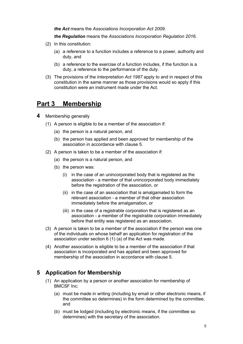*the Act* means the *Associations Incorporation Act 2009*.

*the Regulation* means the *Associations Incorporation Regulation 2016.*

- (2) In this constitution:
	- (a) a reference to a function includes a reference to a power, authority and duty, and
	- (b) a reference to the exercise of a function includes, if the function is a duty, a reference to the performance of the duty.
- (3) The provisions of the *Interpretation Act 1987* apply to and in respect of this constitution in the same manner as those provisions would so apply if this constitution were an instrument made under the Act.

## **Part 3 Membership**

- **4** Membership generally
	- (1) A person is eligible to be a member of the association if:
		- (a) the person is a natural person, and
		- (b) the person has applied and been approved for membership of the association in accordance with clause 5.
	- (2) A person is taken to be a member of the association if:
		- (a) the person is a natural person, and
		- (b) the person was:
			- (i) in the case of an unincorporated body that is registered as the association - a member of that unincorporated body immediately before the registration of the association, or
			- (ii) in the case of an association that is amalgamated to form the relevant association - a member of that other association immediately before the amalgamation, or
			- (iii) in the case of a registrable corporation that is registered as an association - a member of the registrable corporation immediately before that entity was registered as an association.
	- (3) A person is taken to be a member of the association if the person was one of the individuals on whose behalf an application for registration of the association under section 6 (1) (a) of the Act was made.
	- (4) Another association is eligible to be a member of the association if that association is incorporated and has applied and been approved for membership of the association in accordance with clause 5.

#### **5 Application for Membership**

- (1) An application by a person or another association for membership of BMCSF Inc:
	- (a) must be made in writing (including by email or other electronic means, if the committee so determines) in the form determined by the committee, and
	- (b) must be lodged (including by electronic means, if the committee so determines) with the secretary of the association.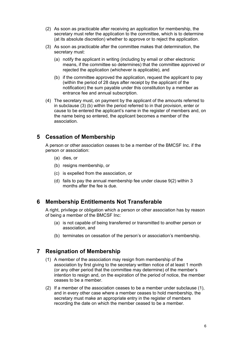- (2) As soon as practicable after receiving an application for membership, the secretary must refer the application to the committee, which is to determine (at its absolute discretion) whether to approve or to reject the application.
- (3) As soon as practicable after the committee makes that determination, the secretary must:
	- (a) notify the applicant in writing (including by email or other electronic means, if the committee so determines) that the committee approved or rejected the application (whichever is applicable), and
	- (b) if the committee approved the application, request the applicant to pay (within the period of 28 days after receipt by the applicant of the notification) the sum payable under this constitution by a member as entrance fee and annual subscription.
- (4) The secretary must, on payment by the applicant of the amounts referred to in subclause (3) (b) within the period referred to in that provision, enter or cause to be entered the applicant's name in the register of members and, on the name being so entered, the applicant becomes a member of the association.

#### **5 Cessation of Membership**

A person or other association ceases to be a member of the BMCSF Inc. if the person or association:

- (a) dies, or
- (b) resigns membership, or
- (c) is expelled from the association, or
- (d) fails to pay the annual membership fee under clause 9(2) within 3 months after the fee is due.

#### **6 Membership Entitlements Not Transferable**

A right, privilege or obligation which a person or other association has by reason of being a member of the BMCSF Inc:

- (a) is not capable of being transferred or transmitted to another person or association, and
- (b) terminates on cessation of the person's or association's membership.

#### **7 Resignation of Membership**

- (1) A member of the association may resign from membership of the association by first giving to the secretary written notice of at least 1 month (or any other period that the committee may determine) of the member's intention to resign and, on the expiration of the period of notice, the member ceases to be a member.
- (2) If a member of the association ceases to be a member under subclause (1), and in every other case where a member ceases to hold membership, the secretary must make an appropriate entry in the register of members recording the date on which the member ceased to be a member.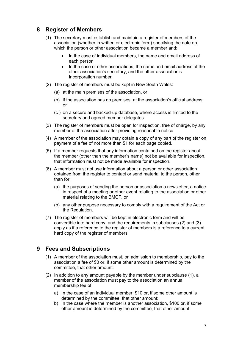#### **8 Register of Members**

- (1) The secretary must establish and maintain a register of members of the association (whether in written or electronic form) specifying the date on which the person or other association became a member and:
	- In the case of individual members, the name and email address of each person
	- In the case of other associations, the name and email address of the other association's secretary, and the other association's Incorporation number.
- (2) The register of members must be kept in New South Wales:
	- (a) at the main premises of the association, or
	- (b) if the association has no premises, at the association's official address, or
	- (c ) on a secure and backed-up database, where access is limited to the secretary and agreed member delegates.
- (3) The register of members must be open for inspection, free of charge, by any member of the association after providing reasonable notice.
- (4) A member of the association may obtain a copy of any part of the register on payment of a fee of not more than \$1 for each page copied.
- (5) If a member requests that any information contained on the register about the member (other than the member's name) not be available for inspection, that information must not be made available for inspection.
- (6) A member must not use information about a person or other association obtained from the register to contact or send material to the person, other than for:
	- (a) the purposes of sending the person or association a newsletter, a notice in respect of a meeting or other event relating to the association or other material relating to the BMCF, or
	- (b) any other purpose necessary to comply with a requirement of the Act or the Regulation.
- (7) The register of members will be kept in electronic form and will be convertible into hard copy, and the requirements in subclauses (2) and (3) apply as if a reference to the register of members is a reference to a current hard copy of the register of members.

## **9 Fees and Subscriptions**

- (1) A member of the association must, on admission to membership, pay to the association a fee of \$0 or, if some other amount is determined by the committee, that other amount.
- (2) In addition to any amount payable by the member under subclause (1), a member of the association must pay to the association an annual membership fee of
	- a) In the case of an individual member, \$10 or, if some other amount is determined by the committee, that other amount:
	- b) In the case where the member is another association, \$100 or, if some other amount is determined by the committee, that other amount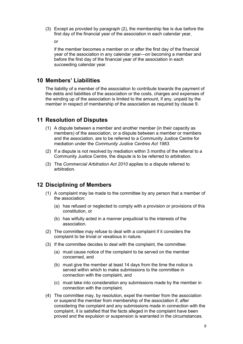(3) Except as provided by paragraph (2), the membership fee is due before the first day of the financial year of the association in each calendar year,

or

if the member becomes a member on or after the first day of the financial year of the association in any calendar year—on becoming a member and before the first day of the financial year of the association in each succeeding calendar year.

#### **10 Members' Liabilities**

The liability of a member of the association to contribute towards the payment of the debts and liabilities of the association or the costs, charges and expenses of the winding up of the association is limited to the amount, if any, unpaid by the member in respect of membership of the association as required by clause 9.

#### **11 Resolution of Disputes**

- (1) A dispute between a member and another member (in their capacity as members) of the association, or a dispute between a member or members and the association, are to be referred to a Community Justice Centre for mediation under the *Community Justice Centres Act 1983*.
- (2) If a dispute is not resolved by mediation within 3 months of the referral to a Community Justice Centre, the dispute is to be referred to arbitration.
- (3) The *Commercial Arbitration Act 2010* applies to a dispute referred to arbitration.

#### **12 Disciplining of Members**

- (1) A complaint may be made to the committee by any person that a member of the association:
	- (a) has refused or neglected to comply with a provision or provisions of this constitution, or
	- (b) has wilfully acted in a manner prejudicial to the interests of the association.
- (2) The committee may refuse to deal with a complaint if it considers the complaint to be trivial or vexatious in nature.
- (3) If the committee decides to deal with the complaint, the committee:
	- (a) must cause notice of the complaint to be served on the member concerned, and
	- (b) must give the member at least 14 days from the time the notice is served within which to make submissions to the committee in connection with the complaint, and
	- (c) must take into consideration any submissions made by the member in connection with the complaint.
- (4) The committee may, by resolution, expel the member from the association or suspend the member from membership of the association if, after considering the complaint and any submissions made in connection with the complaint, it is satisfied that the facts alleged in the complaint have been proved and the expulsion or suspension is warranted in the circumstances.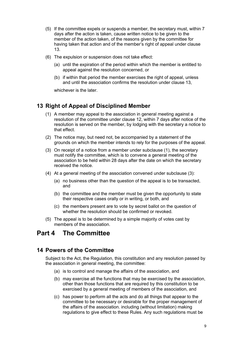- (5) If the committee expels or suspends a member, the secretary must, within 7 days after the action is taken, cause written notice to be given to the member of the action taken, of the reasons given by the committee for having taken that action and of the member's right of appeal under clause 13.
- (6) The expulsion or suspension does not take effect:
	- (a) until the expiration of the period within which the member is entitled to appeal against the resolution concerned, or
	- (b) if within that period the member exercises the right of appeal, unless and until the association confirms the resolution under clause 13,

whichever is the later.

#### **13 Right of Appeal of Disciplined Member**

- (1) A member may appeal to the association in general meeting against a resolution of the committee under clause 12, within 7 days after notice of the resolution is served on the member, by lodging with the secretary a notice to that effect.
- (2) The notice may, but need not, be accompanied by a statement of the grounds on which the member intends to rely for the purposes of the appeal.
- (3) On receipt of a notice from a member under subclause (1), the secretary must notify the committee, which is to convene a general meeting of the association to be held within 28 days after the date on which the secretary received the notice.
- (4) At a general meeting of the association convened under subclause (3):
	- (a) no business other than the question of the appeal is to be transacted, and
	- (b) the committee and the member must be given the opportunity to state their respective cases orally or in writing, or both, and
	- (c) the members present are to vote by secret ballot on the question of whether the resolution should be confirmed or revoked.
- (5) The appeal is to be determined by a simple majority of votes cast by members of the association.

## **Part 4 The Committee**

#### **14 Powers of the Committee**

Subject to the Act, the Regulation, this constitution and any resolution passed by the association in general meeting, the committee:

- (a) is to control and manage the affairs of the association, and
- (b) may exercise all the functions that may be exercised by the association, other than those functions that are required by this constitution to be exercised by a general meeting of members of the association, and
- (c) has power to perform all the acts and do all things that appear to the committee to be necessary or desirable for the proper management of the affairs of the association. including (without limitation) making regulations to give effect to these Rules. Any such regulations must be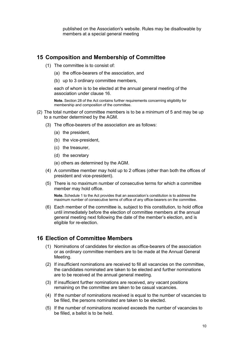published on the Association's website. Rules may be disallowable by members at a special general meeting

#### **15 Composition and Membership of Committee**

- (1) The committee is to consist of:
	- (a) the office-bearers of the association, and
	- (b) up to 3 ordinary committee members,

each of whom is to be elected at the annual general meeting of the association under clause 16.

**Note.** Section 28 of the Act contains further requirements concerning eligibility for membership and composition of the committee.

- (2) The total number of committee members is to be a minimum of 5 and may be up to a number determined by the AGM.
	- (3) The office-bearers of the association are as follows:
		- (a) the president,
		- (b) the vice-president,
		- (c) the treasurer,
		- (d) the secretary

(e) others as determined by the AGM.

- (4) A committee member may hold up to 2 offices (other than both the offices of president and vice-president).
- (5) There is no maximum number of consecutive terms for which a committee member may hold office.

**Note.** Schedule 1 to the Act provides that an association's constitution is to address the maximum number of consecutive terms of office of any office-bearers on the committee.

(6) Each member of the committee is, subject to this constitution, to hold office until immediately before the election of committee members at the annual general meeting next following the date of the member's election, and is eligible for re-election.

#### **16 Election of Committee Members**

- (1) Nominations of candidates for election as office-bearers of the association or as ordinary committee members are to be made at the Annual General Meeting.
- (2) If insufficient nominations are received to fill all vacancies on the committee, the candidates nominated are taken to be elected and further nominations are to be received at the annual general meeting.
- (3) If insufficient further nominations are received, any vacant positions remaining on the committee are taken to be casual vacancies.
- (4) If the number of nominations received is equal to the number of vacancies to be filled, the persons nominated are taken to be elected.
- (5) If the number of nominations received exceeds the number of vacancies to be filled, a ballot is to be held.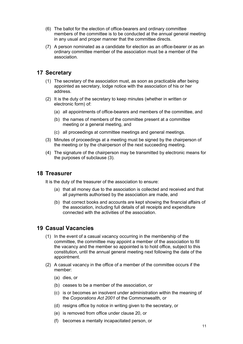- (6) The ballot for the election of office-bearers and ordinary committee members of the committee is to be conducted at the annual general meeting in any usual and proper manner that the committee directs.
- (7) A person nominated as a candidate for election as an office-bearer or as an ordinary committee member of the association must be a member of the association.

### **17 Secretary**

- (1) The secretary of the association must, as soon as practicable after being appointed as secretary, lodge notice with the association of his or her address.
- (2) It is the duty of the secretary to keep minutes (whether in written or electronic form) of:
	- (a) all appointments of office-bearers and members of the committee, and
	- (b) the names of members of the committee present at a committee meeting or a general meeting, and
	- (c) all proceedings at committee meetings and general meetings.
- (3) Minutes of proceedings at a meeting must be signed by the chairperson of the meeting or by the chairperson of the next succeeding meeting.
- (4) The signature of the chairperson may be transmitted by electronic means for the purposes of subclause (3).

#### **18 Treasurer**

It is the duty of the treasurer of the association to ensure:

- (a) that all money due to the association is collected and received and that all payments authorised by the association are made, and
- (b) that correct books and accounts are kept showing the financial affairs of the association, including full details of all receipts and expenditure connected with the activities of the association.

#### **19 Casual Vacancies**

- (1) In the event of a casual vacancy occurring in the membership of the committee, the committee may appoint a member of the association to fill the vacancy and the member so appointed is to hold office, subject to this constitution, until the annual general meeting next following the date of the appointment.
- (2) A casual vacancy in the office of a member of the committee occurs if the member:
	- (a) dies, or
	- (b) ceases to be a member of the association, or
	- (c) is or becomes an insolvent under administration within the meaning of the *Corporations Act 2001* of the Commonwealth, or
	- (d) resigns office by notice in writing given to the secretary, or
	- (e) is removed from office under clause 20, or
	- (f) becomes a mentally incapacitated person, or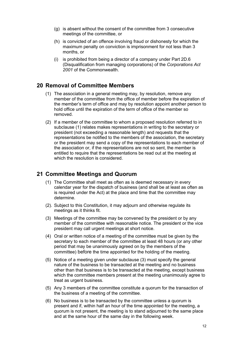- (g) is absent without the consent of the committee from 3 consecutive meetings of the committee, or
- (h) is convicted of an offence involving fraud or dishonesty for which the maximum penalty on conviction is imprisonment for not less than 3 months, or
- (i) is prohibited from being a director of a company under Part 2D.6 (Disqualification from managing corporations) of the *Corporations Act 2001* of the Commonwealth.

#### **20 Removal of Committee Members**

- (1) The association in a general meeting may, by resolution, remove any member of the committee from the office of member before the expiration of the member's term of office and may by resolution appoint another person to hold office until the expiration of the term of office of the member so removed.
- (2) If a member of the committee to whom a proposed resolution referred to in subclause (1) relates makes representations in writing to the secretary or president (not exceeding a reasonable length) and requests that the representations be notified to the members of the association, the secretary or the president may send a copy of the representations to each member of the association or, if the representations are not so sent, the member is entitled to require that the representations be read out at the meeting at which the resolution is considered.

#### **21 Committee Meetings and Quorum**

- (1) The Committee shall meet as often as is deemed necessary in every calendar year for the dispatch of business (and shall be at least as often as is required under the Act) at the place and time that the committee may determine.
- (2). Subject to this Constitution, it may adjourn and otherwise regulate its meetings as it thinks fit.
- (3) Meetings of the committee may be convened by the president or by any member of the committee with reasonable notice. The president or the vice president may call urgent meetings at short notice.
- (4) Oral or written notice of a meeting of the committee must be given by the secretary to each member of the committee at least 48 hours (or any other period that may be unanimously agreed on by the members of the committee) before the time appointed for the holding of the meeting.
- (5) Notice of a meeting given under subclause (3) must specify the general nature of the business to be transacted at the meeting and no business other than that business is to be transacted at the meeting, except business which the committee members present at the meeting unanimously agree to treat as urgent business.
- (5) Any 3 members of the committee constitute a quorum for the transaction of the business of a meeting of the committee.
- (6) No business is to be transacted by the committee unless a quorum is present and if, within half an hour of the time appointed for the meeting, a quorum is not present, the meeting is to stand adjourned to the same place and at the same hour of the same day in the following week.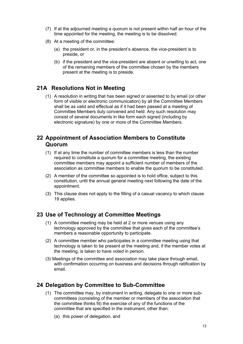- (7) If at the adjourned meeting a quorum is not present within half an hour of the time appointed for the meeting, the meeting is to be dissolved.
- (8) At a meeting of the committee:
	- (a) the president or, in the president's absence, the vice-president is to preside, or
	- (b) if the president and the vice-president are absent or unwilling to act, one of the remaining members of the committee chosen by the members present at the meeting is to preside.

#### **21A Resolutions Not in Meeting**

(1) A resolution in writing that has been signed or assented to by email (or other form of visible or electronic communication) by all the Committee Members shall be as valid and effectual as if it had been passed at a meeting of Committee Members duly convened and held. Any such resolution may consist of several documents in like form each signed (including by electronic signature) by one or more of the Committee Members.

### **22 Appointment of Association Members to Constitute Quorum**

- (1) If at any time the number of committee members is less than the number required to constitute a quorum for a committee meeting, the existing committee members may appoint a sufficient number of members of the association as committee members to enable the quorum to be constituted.
- (2) A member of the committee so appointed is to hold office, subject to this constitution, until the annual general meeting next following the date of the appointment.
- (3) This clause does not apply to the filling of a casual vacancy to which clause 19 applies.

#### **23 Use of Technology at Committee Meetings**

- (1) A committee meeting may be held at 2 or more venues using any technology approved by the committee that gives each of the committee's members a reasonable opportunity to participate.
- (2) A committee member who participates in a committee meeting using that technology is taken to be present at the meeting and, if the member votes at the meeting, is taken to have voted in person.
- (3) Meetings of the committee and association may take place through email, with confirmation occurring on business and decisions through ratification by email.

#### **24 Delegation by Committee to Sub-Committee**

- (1) The committee may, by instrument in writing, delegate to one or more subcommittees (consisting of the member or members of the association that the committee thinks fit) the exercise of any of the functions of the committee that are specified in the instrument, other than:
	- (a) this power of delegation, and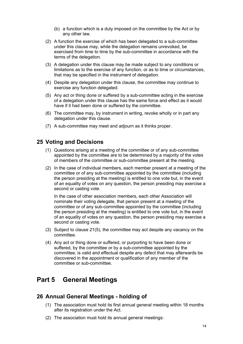- (b) a function which is a duty imposed on the committee by the Act or by any other law.
- (2) A function the exercise of which has been delegated to a sub-committee under this clause may, while the delegation remains unrevoked, be exercised from time to time by the sub-committee in accordance with the terms of the delegation.
- (3) A delegation under this clause may be made subject to any conditions or limitations as to the exercise of any function, or as to time or circumstances, that may be specified in the instrument of delegation.
- (4) Despite any delegation under this clause, the committee may continue to exercise any function delegated.
- (5) Any act or thing done or suffered by a sub-committee acting in the exercise of a delegation under this clause has the same force and effect as it would have if it had been done or suffered by the committee.
- (6) The committee may, by instrument in writing, revoke wholly or in part any delegation under this clause.
- (7) A sub-committee may meet and adjourn as it thinks proper.

#### **25 Voting and Decisions**

- (1) Questions arising at a meeting of the committee or of any sub-committee appointed by the committee are to be determined by a majority of the votes of members of the committee or sub-committee present at the meeting.
- (2) In the case of individual members, each member present at a meeting of the committee or of any sub-committee appointed by the committee (including the person presiding at the meeting) is entitled to one vote but, in the event of an equality of votes on any question, the person presiding may exercise a second or casting vote.

In the case of other association members, each other Association will nominate their voting delegate, that person present at a meeting of the committee or of any sub-committee appointed by the committee (including the person presiding at the meeting) is entitled to one vote but, in the event of an equality of votes on any question, the person presiding may exercise a second or casting vote.

- (3) Subject to clause 21(5), the committee may act despite any vacancy on the committee.
- (4) Any act or thing done or suffered, or purporting to have been done or suffered, by the committee or by a sub-committee appointed by the committee, is valid and effectual despite any defect that may afterwards be discovered in the appointment or qualification of any member of the committee or sub-committee.

## **Part 5 General Meetings**

#### **26 Annual General Meetings - holding of**

- (1) The association must hold its first annual general meeting within 18 months after its registration under the Act.
- (2) The association must hold its annual general meetings: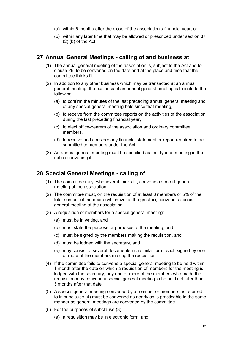- (a) within 6 months after the close of the association's financial year, or
- (b) within any later time that may be allowed or prescribed under section 37  $(2)$  (b) of the Act.

#### **27 Annual General Meetings - calling of and business at**

- (1) The annual general meeting of the association is, subject to the Act and to clause 26, to be convened on the date and at the place and time that the committee thinks fit.
- (2) In addition to any other business which may be transacted at an annual general meeting, the business of an annual general meeting is to include the following:
	- (a) to confirm the minutes of the last preceding annual general meeting and of any special general meeting held since that meeting,
	- (b) to receive from the committee reports on the activities of the association during the last preceding financial year,
	- (c) to elect office-bearers of the association and ordinary committee members,
	- (d) to receive and consider any financial statement or report required to be submitted to members under the Act.
- (3) An annual general meeting must be specified as that type of meeting in the notice convening it.

#### **28 Special General Meetings - calling of**

- (1) The committee may, whenever it thinks fit, convene a special general meeting of the association.
- (2) The committee must, on the requisition of at least 3 members or 5% of the total number of members (whichever is the greater), convene a special general meeting of the association.
- (3) A requisition of members for a special general meeting:
	- (a) must be in writing, and
	- (b) must state the purpose or purposes of the meeting, and
	- (c) must be signed by the members making the requisition, and
	- (d) must be lodged with the secretary, and
	- (e) may consist of several documents in a similar form, each signed by one or more of the members making the requisition.
- (4) If the committee fails to convene a special general meeting to be held within 1 month after the date on which a requisition of members for the meeting is lodged with the secretary, any one or more of the members who made the requisition may convene a special general meeting to be held not later than 3 months after that date.
- (5) A special general meeting convened by a member or members as referred to in subclause (4) must be convened as nearly as is practicable in the same manner as general meetings are convened by the committee.
- (6) For the purposes of subclause (3):
	- (a) a requisition may be in electronic form, and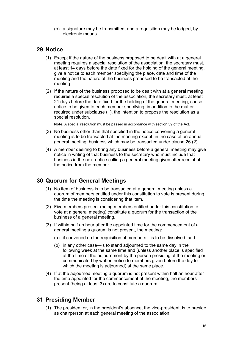(b) a signature may be transmitted, and a requisition may be lodged, by electronic means.

#### **29 Notice**

- (1) Except if the nature of the business proposed to be dealt with at a general meeting requires a special resolution of the association, the secretary must, at least 14 days before the date fixed for the holding of the general meeting, give a notice to each member specifying the place, date and time of the meeting and the nature of the business proposed to be transacted at the meeting.
- (2) If the nature of the business proposed to be dealt with at a general meeting requires a special resolution of the association, the secretary must, at least 21 days before the date fixed for the holding of the general meeting, cause notice to be given to each member specifying, in addition to the matter required under subclause (1), the intention to propose the resolution as a special resolution.

**Note.** A special resolution must be passed in accordance with section 39 of the Act.

- (3) No business other than that specified in the notice convening a general meeting is to be transacted at the meeting except, in the case of an annual general meeting, business which may be transacted under clause 26 (2).
- (4) A member desiring to bring any business before a general meeting may give notice in writing of that business to the secretary who must include that business in the next notice calling a general meeting given after receipt of the notice from the member.

#### **30 Quorum for General Meetings**

- (1) No item of business is to be transacted at a general meeting unless a quorum of members entitled under this constitution to vote is present during the time the meeting is considering that item.
- (2) Five members present (being members entitled under this constitution to vote at a general meeting) constitute a quorum for the transaction of the business of a general meeting.
- (3) If within half an hour after the appointed time for the commencement of a general meeting a quorum is not present, the meeting:
	- (a) if convened on the requisition of members—is to be dissolved, and
	- (b) in any other case—is to stand adjourned to the same day in the following week at the same time and (unless another place is specified at the time of the adjournment by the person presiding at the meeting or communicated by written notice to members given before the day to which the meeting is adjourned) at the same place.
- (4) If at the adjourned meeting a quorum is not present within half an hour after the time appointed for the commencement of the meeting, the members present (being at least 3) are to constitute a quorum.

#### **31 Presiding Member**

(1) The president or, in the president's absence, the vice-president, is to preside as chairperson at each general meeting of the association.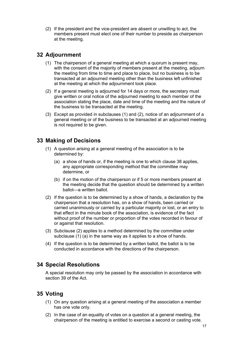(2) If the president and the vice-president are absent or unwilling to act, the members present must elect one of their number to preside as chairperson at the meeting.

#### **32 Adjournment**

- (1) The chairperson of a general meeting at which a quorum is present may, with the consent of the majority of members present at the meeting, adjourn the meeting from time to time and place to place, but no business is to be transacted at an adjourned meeting other than the business left unfinished at the meeting at which the adjournment took place.
- (2) If a general meeting is adjourned for 14 days or more, the secretary must give written or oral notice of the adjourned meeting to each member of the association stating the place, date and time of the meeting and the nature of the business to be transacted at the meeting.
- (3) Except as provided in subclauses (1) and (2), notice of an adjournment of a general meeting or of the business to be transacted at an adjourned meeting is not required to be given.

#### **33 Making of Decisions**

- (1) A question arising at a general meeting of the association is to be determined by:
	- (a) a show of hands or, if the meeting is one to which clause 38 applies, any appropriate corresponding method that the committee may determine, or
	- (b) if on the motion of the chairperson or if 5 or more members present at the meeting decide that the question should be determined by a written ballot—a written ballot.
- (2) If the question is to be determined by a show of hands, a declaration by the chairperson that a resolution has, on a show of hands, been carried or carried unanimously or carried by a particular majority or lost, or an entry to that effect in the minute book of the association, is evidence of the fact without proof of the number or proportion of the votes recorded in favour of or against that resolution.
- (3) Subclause (2) applies to a method determined by the committee under subclause (1) (a) in the same way as it applies to a show of hands.
- (4) If the question is to be determined by a written ballot, the ballot is to be conducted in accordance with the directions of the chairperson.

#### **34 Special Resolutions**

A special resolution may only be passed by the association in accordance with section 39 of the Act.

## **35 Voting**

- (1) On any question arising at a general meeting of the association a member has one vote only.
- (2) In the case of an equality of votes on a question at a general meeting, the chairperson of the meeting is entitled to exercise a second or casting vote.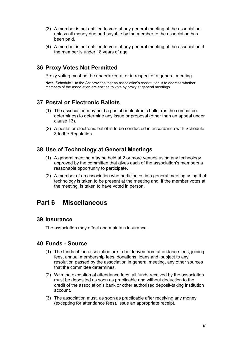- (3) A member is not entitled to vote at any general meeting of the association unless all money due and payable by the member to the association has been paid.
- (4) A member is not entitled to vote at any general meeting of the association if the member is under 18 years of age.

#### **36 Proxy Votes Not Permitted**

Proxy voting must not be undertaken at or in respect of a general meeting.

**Note.** Schedule 1 to the Act provides that an association's constitution is to address whether members of the association are entitled to vote by proxy at general meetings.

#### **37 Postal or Electronic Ballots**

- (1) The association may hold a postal or electronic ballot (as the committee determines) to determine any issue or proposal (other than an appeal under clause 13).
- (2) A postal or electronic ballot is to be conducted in accordance with Schedule 3 to the Regulation.

#### **38 Use of Technology at General Meetings**

- (1) A general meeting may be held at 2 or more venues using any technology approved by the committee that gives each of the association's members a reasonable opportunity to participate.
- (2) A member of an association who participates in a general meeting using that technology is taken to be present at the meeting and, if the member votes at the meeting, is taken to have voted in person.

## **Part 6 Miscellaneous**

#### **39 Insurance**

The association may effect and maintain insurance.

#### **40 Funds - Source**

- (1) The funds of the association are to be derived from attendance fees, joining fees, annual membership fees, donations, loans and, subject to any resolution passed by the association in general meeting, any other sources that the committee determines.
- (2) With the exception of attendance fees, all funds received by the association must be deposited as soon as practicable and without deduction to the credit of the association's bank or other authorised deposit-taking institution account.
- (3) The association must, as soon as practicable after receiving any money (excepting for attendance fees), issue an appropriate receipt.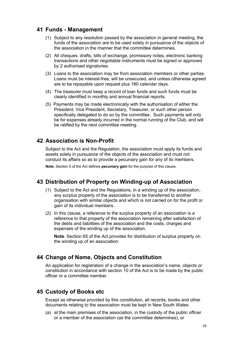#### **41 Funds - Management**

- (1) Subject to any resolution passed by the association in general meeting, the funds of the association are to be used solely in pursuance of the objects of the association in the manner that the committee determines.
- (2) All cheques, drafts, bills of exchange, promissory notes, electronic banking transactions and other negotiable instruments must be signed or approved by 2 authorised signatories.
- (3) Loans to the association may be from association members or other parties. Loans must be interest-free, will be unsecured, and unless otherwise agreed are to be repayable upon request plus 180 calendar days.
- (4) The treasurer must keep a record of loan funds and such funds must be clearly identified in monthly and annual financial reports.
- (5) Payments may be made electronically with the authorisation of either the President, Vice President, Secretary, Treasurer, or such other person specifically delegated to do so by the committee. Such payments will only be for expenses already incurred in the normal running of the Club, and will be ratified by the next committee meeting.

#### **42 Association is Non-Profit**

Subject to the Act and the Regulation, the association must apply its funds and assets solely in pursuance of the objects of the association and must not conduct its affairs so as to provide a pecuniary gain for any of its members.

**Note.** Section 5 of the Act defines **pecuniary gain** for the purpose of this clause.

#### **43 Distribution of Property on Winding-up of Association**

- (1) Subject to the Act and the Regulations, in a winding up of the association, any surplus property of the association is to be transferred to another organisation with similar objects and which is not carried on for the profit or gain of its individual members.
- (2) In this clause, a reference to the surplus property of an association is a reference to that property of the association remaining after satisfaction of the debts and liabilities of the association and the costs, charges and expenses of the winding up of the association.

**Note**. Section 65 of the Act provides for distribution of surplus property on the winding up of an association.

#### **44 Change of Name, Objects and Constitution**

An application for registration of a change in the association's name, objects or constitution in accordance with section 10 of the Act is to be made by the public officer or a committee member.

#### **45 Custody of Books etc**

Except as otherwise provided by this constitution, all records, books and other documents relating to the association must be kept in New South Wales:

(a) at the main premises of the association, in the custody of the public officer or a member of the association (as the committee determines), or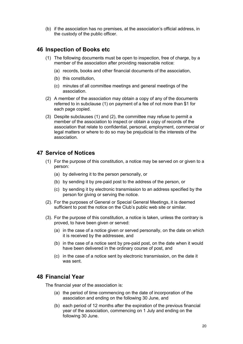(b) if the association has no premises, at the association's official address, in the custody of the public officer.

#### **46 Inspection of Books etc**

- (1) The following documents must be open to inspection, free of charge, by a member of the association after providing reasonable notice:
	- (a) records, books and other financial documents of the association,
	- (b) this constitution,
	- (c) minutes of all committee meetings and general meetings of the association.
- (2) A member of the association may obtain a copy of any of the documents referred to in subclause (1) on payment of a fee of not more than \$1 for each page copied.
- (3) Despite subclauses (1) and (2), the committee may refuse to permit a member of the association to inspect or obtain a copy of records of the association that relate to confidential, personal, employment, commercial or legal matters or where to do so may be prejudicial to the interests of the association.

#### **47 Service of Notices**

- (1) For the purpose of this constitution, a notice may be served on or given to a person:
	- (a) by delivering it to the person personally, or
	- (b) by sending it by pre-paid post to the address of the person, or
	- (c) by sending it by electronic transmission to an address specified by the person for giving or serving the notice.
- (2). For the purposes of General or Special General Meetings, it is deemed sufficient to post the notice on the Club's public web site or similar.
- (3). For the purpose of this constitution, a notice is taken, unless the contrary is proved, to have been given or served:
	- (a) in the case of a notice given or served personally, on the date on which it is received by the addressee, and
	- (b) in the case of a notice sent by pre-paid post, on the date when it would have been delivered in the ordinary course of post, and
	- (c) in the case of a notice sent by electronic transmission, on the date it was sent.

#### **48 Financial Year**

The financial year of the association is:

- (a) the period of time commencing on the date of incorporation of the association and ending on the following 30 June, and
- (b) each period of 12 months after the expiration of the previous financial year of the association, commencing on 1 July and ending on the following 30 June.